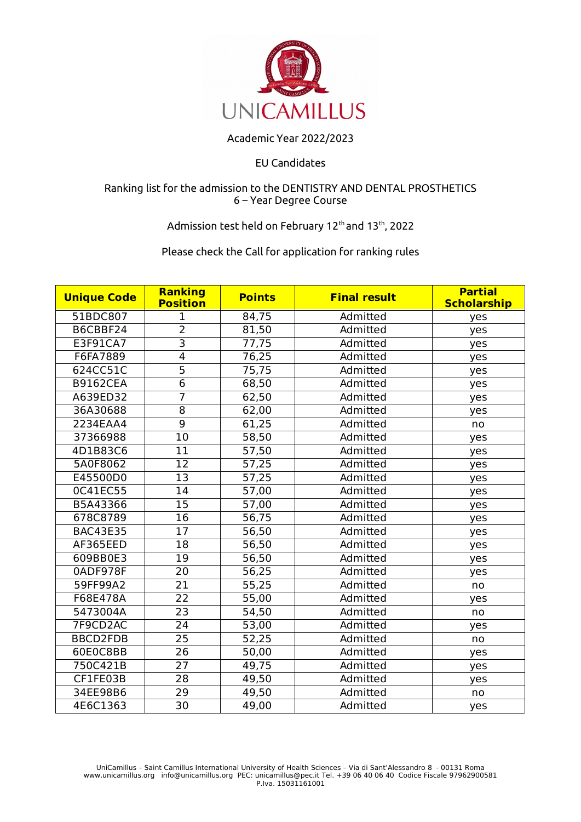

## Academic Year 2022/2023

#### EU Candidates

#### Ranking list for the admission to the DENTISTRY AND DENTAL PROSTHETICS 6 – Year Degree Course

# Admission test held on February 12<sup>th</sup> and 13<sup>th</sup>, 2022

### Please check the Call for application for ranking rules

| <b>Unique Code</b> | <b>Ranking</b><br><b>Position</b> | <b>Points</b> | <b>Final result</b> | <b>Partial</b><br><b>Scholarship</b> |
|--------------------|-----------------------------------|---------------|---------------------|--------------------------------------|
| 51BDC807           | 1                                 | 84,75         | Admitted            | yes                                  |
| B6CBBF24           | $\overline{2}$                    | 81,50         | Admitted            | yes                                  |
| E3F91CA7           | $\overline{\overline{3}}$         | 77,75         | Admitted            | yes                                  |
| F6FA7889           | $\overline{\mathbf{4}}$           | 76,25         | Admitted            | yes                                  |
| 624CC51C           | 5                                 | 75,75         | Admitted            | yes                                  |
| <b>B9162CEA</b>    | $\overline{6}$                    | 68,50         | Admitted            | yes                                  |
| A639ED32           | $\overline{7}$                    | 62,50         | Admitted            | yes                                  |
| 36A30688           | $\overline{8}$                    | 62,00         | Admitted            | yes                                  |
| 2234EAA4           | $\overline{9}$                    | 61,25         | Admitted            | no                                   |
| 37366988           | 10                                | 58,50         | Admitted            | yes                                  |
| 4D1B83C6           | 11                                | 57,50         | Admitted            | yes                                  |
| 5A0F8062           | 12                                | 57,25         | Admitted            | yes                                  |
| E45500D0           | 13                                | 57,25         | Admitted            | yes                                  |
| 0C41EC55           | 14                                | 57,00         | Admitted            | yes                                  |
| B5A43366           | 15                                | 57,00         | Admitted            | yes                                  |
| 678C8789           | 16                                | 56,75         | Admitted            | yes                                  |
| <b>BAC43E35</b>    | 17                                | 56,50         | Admitted            | yes                                  |
| AF365EED           | 18                                | 56,50         | Admitted            | yes                                  |
| 609BB0E3           | 19                                | 56,50         | Admitted            | yes                                  |
| 0ADF978F           | 20                                | 56,25         | Admitted            | yes                                  |
| 59FF99A2           | 21                                | 55,25         | Admitted            | no                                   |
| F68E478A           | 22                                | 55,00         | Admitted            | yes                                  |
| 5473004A           | 23                                | 54,50         | Admitted            | no                                   |
| 7F9CD2AC           | 24                                | 53,00         | Admitted            | yes                                  |
| <b>BBCD2FDB</b>    | 25                                | 52,25         | Admitted            | no                                   |
| 60E0C8BB           | 26                                | 50,00         | Admitted            | yes                                  |
| 750C421B           | 27                                | 49,75         | Admitted            | yes                                  |
| CF1FE03B           | 28                                | 49,50         | Admitted            | yes                                  |
| 34EE98B6           | 29                                | 49,50         | Admitted            | no                                   |
| 4E6C1363           | 30                                | 49,00         | Admitted            | yes                                  |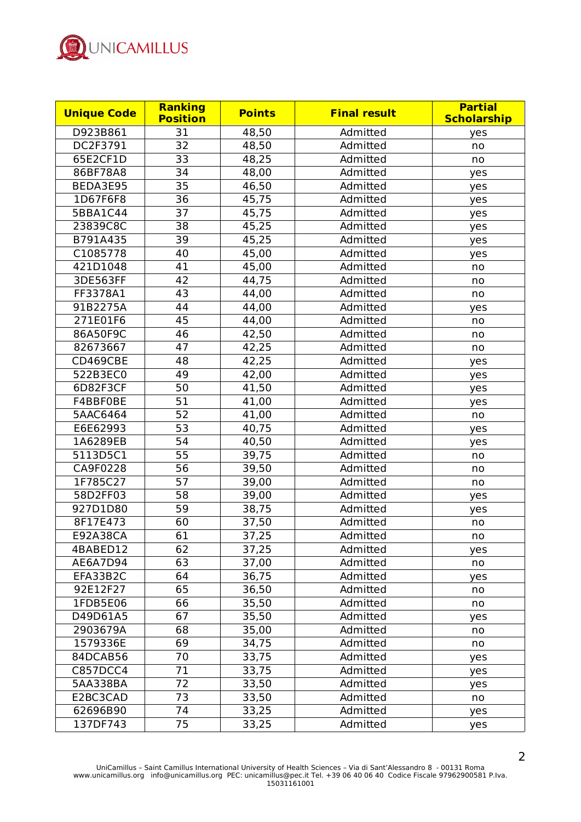

| <b>Unique Code</b> | <b>Ranking</b><br><b>Position</b> | <b>Points</b> | <b>Final result</b> | <b>Partial</b><br><b>Scholarship</b> |
|--------------------|-----------------------------------|---------------|---------------------|--------------------------------------|
| D923B861           | 31                                | 48,50         | Admitted            | yes                                  |
| DC2F3791           | 32                                | 48,50         | Admitted            | no                                   |
| 65E2CF1D           | 33                                | 48,25         | Admitted            | no                                   |
| 86BF78A8           | 34                                | 48,00         | Admitted            | yes                                  |
| BEDA3E95           | 35                                | 46,50         | Admitted            | yes                                  |
| 1D67F6F8           | 36                                | 45,75         | Admitted            | yes                                  |
| 5BBA1C44           | 37                                | 45,75         | Admitted            | yes                                  |
| 23839C8C           | 38                                | 45,25         | Admitted            | yes                                  |
| B791A435           | 39                                | 45,25         | Admitted            | yes                                  |
| C1085778           | 40                                | 45,00         | Admitted            | yes                                  |
| 421D1048           | 41                                | 45,00         | Admitted            | no                                   |
| 3DE563FF           | 42                                | 44,75         | Admitted            | no                                   |
| FF3378A1           | 43                                | 44,00         | Admitted            | no                                   |
| 91B2275A           | 44                                | 44,00         | Admitted            | yes                                  |
| 271E01F6           | 45                                | 44,00         | Admitted            | no                                   |
| 86A50F9C           | 46                                | 42,50         | Admitted            | no                                   |
| 82673667           | 47                                | 42,25         | Admitted            | no                                   |
| CD469CBE           | 48                                | 42,25         | Admitted            | yes                                  |
| 522B3EC0           | 49                                | 42,00         | Admitted            | yes                                  |
| 6D82F3CF           | 50                                | 41,50         | Admitted            | yes                                  |
| F4BBF0BE           | 51                                | 41,00         | Admitted            | yes                                  |
| 5AAC6464           | 52                                | 41,00         | Admitted            | no                                   |
| E6E62993           | 53                                | 40,75         | Admitted            | yes                                  |
| 1A6289EB           | 54                                | 40,50         | Admitted            | yes                                  |
| 5113D5C1           | 55                                | 39,75         | Admitted            | no                                   |
| CA9F0228           | 56                                | 39,50         | Admitted            | no                                   |
| 1F785C27           | 57                                | 39,00         | Admitted            | no                                   |
| 58D2FF03           | 58                                | 39,00         | Admitted            | yes                                  |
| 927D1D80           | 59                                | 38,75         | Admitted            | yes                                  |
| 8F17E473           | 60                                | 37,50         | Admitted            | no                                   |
| E92A38CA           | 61                                | 37,25         | Admitted            | no                                   |
| 4BABED12           | 62                                | 37,25         | Admitted            | yes                                  |
| AE6A7D94           | 63                                | 37,00         | Admitted            | no                                   |
| EFA33B2C           | 64                                | 36,75         | Admitted            | yes                                  |
| 92E12F27           | 65                                | 36,50         | Admitted            | no                                   |
| 1FDB5E06           | 66                                | 35,50         | Admitted            | no                                   |
| D49D61A5           | 67                                | 35,50         | Admitted            | yes                                  |
| 2903679A           | 68                                | 35,00         | Admitted            | no                                   |
| 1579336E           | 69                                | 34,75         | Admitted            | no                                   |
| 84DCAB56           | 70                                | 33,75         | Admitted            | yes                                  |
| <b>C857DCC4</b>    | 71                                | 33,75         | Admitted            | yes                                  |
| 5AA338BA           | 72                                | 33,50         | Admitted            | yes                                  |
| E2BC3CAD           | 73                                | 33,50         | Admitted            | no                                   |
| 62696B90           | 74                                | 33,25         | Admitted            | yes                                  |
| 137DF743           | 75                                | 33,25         | Admitted            | yes                                  |